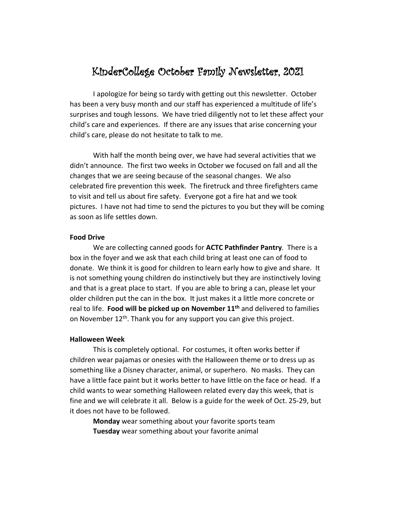# KinderCollege October Family Newsletter, 2021

I apologize for being so tardy with getting out this newsletter. October has been a very busy month and our staff has experienced a multitude of life's surprises and tough lessons. We have tried diligently not to let these affect your child's care and experiences. If there are any issues that arise concerning your child's care, please do not hesitate to talk to me.

With half the month being over, we have had several activities that we didn't announce. The first two weeks in October we focused on fall and all the changes that we are seeing because of the seasonal changes. We also celebrated fire prevention this week. The firetruck and three firefighters came to visit and tell us about fire safety. Everyone got a fire hat and we took pictures. I have not had time to send the pictures to you but they will be coming as soon as life settles down.

#### **Food Drive**

We are collecting canned goods for **ACTC Pathfinder Pantry**. There is a box in the foyer and we ask that each child bring at least one can of food to donate. We think it is good for children to learn early how to give and share. It is not something young children do instinctively but they are instinctively loving and that is a great place to start. If you are able to bring a can, please let your older children put the can in the box. It just makes it a little more concrete or real to life. **Food will be picked up on November 11th** and delivered to families on November 12<sup>th</sup>. Thank you for any support you can give this project.

#### **Halloween Week**

This is completely optional. For costumes, it often works better if children wear pajamas or onesies with the Halloween theme or to dress up as something like a Disney character, animal, or superhero. No masks. They can have a little face paint but it works better to have little on the face or head. If a child wants to wear something Halloween related every day this week, that is fine and we will celebrate it all. Below is a guide for the week of Oct. 25-29, but it does not have to be followed.

**Monday** wear something about your favorite sports team **Tuesday** wear something about your favorite animal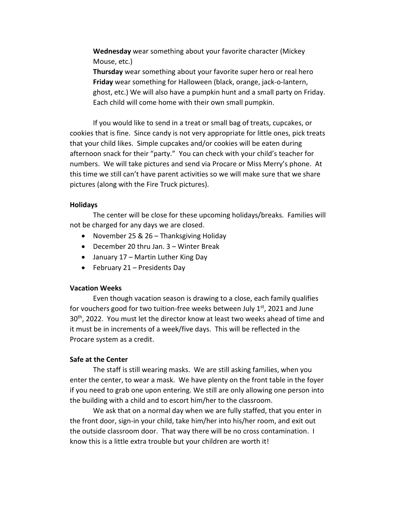**Wednesday** wear something about your favorite character (Mickey Mouse, etc.)

**Thursday** wear something about your favorite super hero or real hero **Friday** wear something for Halloween (black, orange, jack-o-lantern, ghost, etc.) We will also have a pumpkin hunt and a small party on Friday. Each child will come home with their own small pumpkin.

If you would like to send in a treat or small bag of treats, cupcakes, or cookies that is fine. Since candy is not very appropriate for little ones, pick treats that your child likes. Simple cupcakes and/or cookies will be eaten during afternoon snack for their "party." You can check with your child's teacher for numbers. We will take pictures and send via Procare or Miss Merry's phone. At this time we still can't have parent activities so we will make sure that we share pictures (along with the Fire Truck pictures).

#### **Holidays**

The center will be close for these upcoming holidays/breaks. Families will not be charged for any days we are closed.

- November 25 & 26 Thanksgiving Holiday
- December 20 thru Jan. 3 Winter Break
- January 17 Martin Luther King Day
- February 21 Presidents Day

#### **Vacation Weeks**

Even though vacation season is drawing to a close, each family qualifies for vouchers good for two tuition-free weeks between July  $1^{st}$ , 2021 and June 30<sup>th</sup>, 2022. You must let the director know at least two weeks ahead of time and it must be in increments of a week/five days. This will be reflected in the Procare system as a credit.

#### **Safe at the Center**

The staff is still wearing masks. We are still asking families, when you enter the center, to wear a mask. We have plenty on the front table in the foyer if you need to grab one upon entering. We still are only allowing one person into the building with a child and to escort him/her to the classroom.

We ask that on a normal day when we are fully staffed, that you enter in the front door, sign-in your child, take him/her into his/her room, and exit out the outside classroom door. That way there will be no cross contamination. I know this is a little extra trouble but your children are worth it!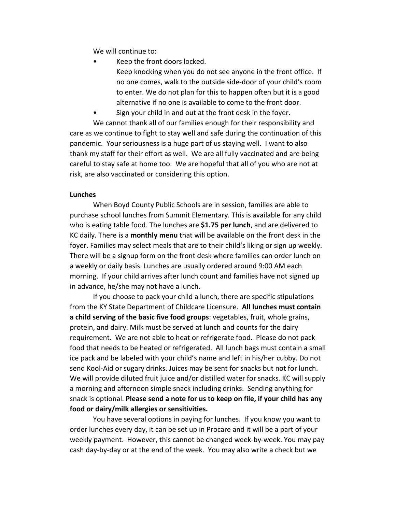We will continue to:

- Keep the front doors locked.
	- Keep knocking when you do not see anyone in the front office. If no one comes, walk to the outside side-door of your child's room to enter. We do not plan for this to happen often but it is a good alternative if no one is available to come to the front door.
- Sign your child in and out at the front desk in the foyer. We cannot thank all of our families enough for their responsibility and care as we continue to fight to stay well and safe during the continuation of this pandemic. Your seriousness is a huge part of us staying well. I want to also thank my staff for their effort as well. We are all fully vaccinated and are being careful to stay safe at home too. We are hopeful that all of you who are not at risk, are also vaccinated or considering this option.

### **Lunches**

When Boyd County Public Schools are in session, families are able to purchase school lunches from Summit Elementary. This is available for any child who is eating table food. The lunches are **\$1.75 per lunch**, and are delivered to KC daily. There is a **monthly menu** that will be available on the front desk in the foyer. Families may select meals that are to their child's liking or sign up weekly. There will be a signup form on the front desk where families can order lunch on a weekly or daily basis. Lunches are usually ordered around 9:00 AM each morning. If your child arrives after lunch count and families have not signed up in advance, he/she may not have a lunch.

If you choose to pack your child a lunch, there are specific stipulations from the KY State Department of Childcare Licensure. **All lunches must contain a child serving of the basic five food groups**: vegetables, fruit, whole grains, protein, and dairy. Milk must be served at lunch and counts for the dairy requirement. We are not able to heat or refrigerate food. Please do not pack food that needs to be heated or refrigerated. All lunch bags must contain a small ice pack and be labeled with your child's name and left in his/her cubby. Do not send Kool-Aid or sugary drinks. Juices may be sent for snacks but not for lunch. We will provide diluted fruit juice and/or distilled water for snacks. KC will supply a morning and afternoon simple snack including drinks. Sending anything for snack is optional. **Please send a note for us to keep on file, if your child has any food or dairy/milk allergies or sensitivities.**

You have several options in paying for lunches. If you know you want to order lunches every day, it can be set up in Procare and it will be a part of your weekly payment. However, this cannot be changed week-by-week. You may pay cash day-by-day or at the end of the week. You may also write a check but we